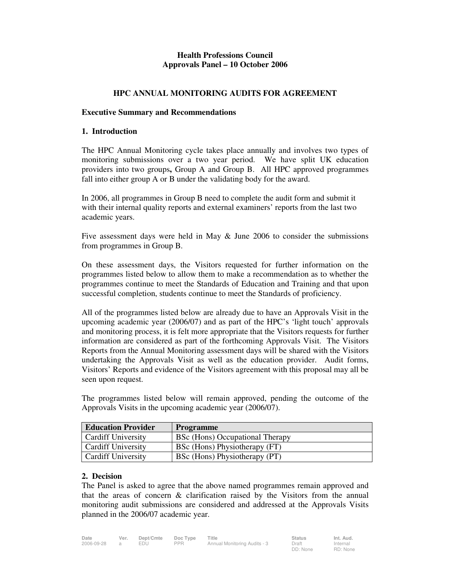# **Health Professions Council Approvals Panel – 10 October 2006**

## **HPC ANNUAL MONITORING AUDITS FOR AGREEMENT**

### **Executive Summary and Recommendations**

### **1. Introduction**

The HPC Annual Monitoring cycle takes place annually and involves two types of monitoring submissions over a two year period. We have split UK education providers into two groups**,** Group A and Group B. All HPC approved programmes fall into either group A or B under the validating body for the award.

In 2006, all programmes in Group B need to complete the audit form and submit it with their internal quality reports and external examiners' reports from the last two academic years.

Five assessment days were held in May & June 2006 to consider the submissions from programmes in Group B.

On these assessment days, the Visitors requested for further information on the programmes listed below to allow them to make a recommendation as to whether the programmes continue to meet the Standards of Education and Training and that upon successful completion, students continue to meet the Standards of proficiency.

All of the programmes listed below are already due to have an Approvals Visit in the upcoming academic year (2006/07) and as part of the HPC's 'light touch' approvals and monitoring process, it is felt more appropriate that the Visitors requests for further information are considered as part of the forthcoming Approvals Visit. The Visitors Reports from the Annual Monitoring assessment days will be shared with the Visitors undertaking the Approvals Visit as well as the education provider. Audit forms, Visitors' Reports and evidence of the Visitors agreement with this proposal may all be seen upon request.

| <b>Education Provider</b> | <b>Programme</b>                |
|---------------------------|---------------------------------|
| <b>Cardiff University</b> | BSc (Hons) Occupational Therapy |
| <b>Cardiff University</b> | BSc (Hons) Physiotherapy (FT)   |
| <b>Cardiff University</b> | BSc (Hons) Physiotherapy (PT)   |

The programmes listed below will remain approved, pending the outcome of the Approvals Visits in the upcoming academic year (2006/07).

### **2. Decision**

The Panel is asked to agree that the above named programmes remain approved and that the areas of concern & clarification raised by the Visitors from the annual monitoring audit submissions are considered and addressed at the Approvals Visits planned in the 2006/07 academic year.